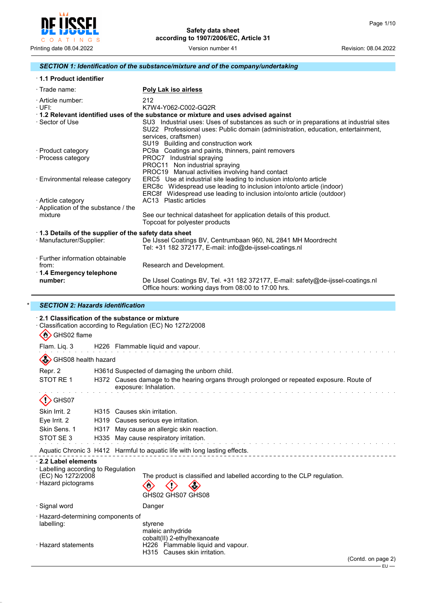

#### *SECTION 1: Identification of the substance/mixture and of the company/undertaking*

| 1.1 Product identifier |  |
|------------------------|--|
|------------------------|--|

| $\cdot$ Trade name:                                  | Poly Lak iso airless                                                                                                                                                                                                                      |
|------------------------------------------------------|-------------------------------------------------------------------------------------------------------------------------------------------------------------------------------------------------------------------------------------------|
| · Article number:<br>∙UFI:                           | 212<br>K7W4-Y062-C002-GQ2R                                                                                                                                                                                                                |
|                                                      | 1.2 Relevant identified uses of the substance or mixture and uses advised against                                                                                                                                                         |
| · Sector of Use                                      | SU3 Industrial uses: Uses of substances as such or in preparations at industrial sites<br>SU22 Professional uses: Public domain (administration, education, entertainment,<br>services, craftsmen)<br>SU19 Building and construction work |
| · Product category                                   | PC9a Coatings and paints, thinners, paint removers                                                                                                                                                                                        |
| · Process category                                   | PROC7 Industrial spraying                                                                                                                                                                                                                 |
|                                                      | PROC11 Non industrial spraying                                                                                                                                                                                                            |
|                                                      | PROC19 Manual activities involving hand contact                                                                                                                                                                                           |
| · Environmental release category                     | ERC5 Use at industrial site leading to inclusion into/onto article                                                                                                                                                                        |
|                                                      | ERC8c Widespread use leading to inclusion into/onto article (indoor)                                                                                                                                                                      |
|                                                      | ERC8f Widespread use leading to inclusion into/onto article (outdoor)                                                                                                                                                                     |
| · Article category                                   | AC13 Plastic articles                                                                                                                                                                                                                     |
| Application of the substance / the                   |                                                                                                                                                                                                                                           |
| mixture                                              | See our technical datasheet for application details of this product.<br>Topcoat for polyester products                                                                                                                                    |
| 1.3 Details of the supplier of the safety data sheet |                                                                                                                                                                                                                                           |
| · Manufacturer/Supplier:                             | De IJssel Coatings BV, Centrumbaan 960, NL 2841 MH Moordrecht<br>Tel: +31 182 372177, E-mail: info@de-ijssel-coatings.nl                                                                                                                  |
| ⋅ Further information obtainable                     |                                                                                                                                                                                                                                           |
| from:                                                | Research and Development.                                                                                                                                                                                                                 |
| $\cdot$ 1.4 Emergency telephone                      |                                                                                                                                                                                                                                           |
| number:                                              | De IJssel Coatings BV, Tel. +31 182 372177, E-mail: safety@de-ijssel-coatings.nl<br>Office hours: working days from 08:00 to 17:00 hrs.                                                                                                   |

#### \* *SECTION 2: Hazards identification*

| $\mathcal{L}$<br>GHS02 flame                                                                                        |                                                       | 2.1 Classification of the substance or mixture<br>Classification according to Regulation (EC) No 1272/2008         |                    |  |
|---------------------------------------------------------------------------------------------------------------------|-------------------------------------------------------|--------------------------------------------------------------------------------------------------------------------|--------------------|--|
| Flam. Liq. 3                                                                                                        |                                                       | H226 Flammable liquid and vapour.                                                                                  |                    |  |
| GHS08 health hazard                                                                                                 |                                                       |                                                                                                                    |                    |  |
| Repr. 2                                                                                                             |                                                       | H361d Suspected of damaging the unborn child.                                                                      |                    |  |
| STOT RE 1                                                                                                           |                                                       | H372 Causes damage to the hearing organs through prolonged or repeated exposure. Route of<br>exposure: Inhalation. |                    |  |
| GHS07                                                                                                               |                                                       |                                                                                                                    |                    |  |
| Skin Irrit, 2                                                                                                       |                                                       | H315 Causes skin irritation.                                                                                       |                    |  |
| Eye Irrit. 2                                                                                                        | H319                                                  | Causes serious eye irritation.                                                                                     |                    |  |
| Skin Sens. 1                                                                                                        | H317                                                  | May cause an allergic skin reaction.                                                                               |                    |  |
|                                                                                                                     | STOT SE3<br>H335<br>May cause respiratory irritation. |                                                                                                                    |                    |  |
|                                                                                                                     |                                                       | Aquatic Chronic 3 H412 Harmful to aquatic life with long lasting effects.                                          |                    |  |
| $\cdot$ 2.2 Label elements<br>$\cdot$ Labelling according to Regulation<br>(EC) No 1272/2008<br>· Hazard pictograms |                                                       | The product is classified and labelled according to the CLP regulation.<br>GHS02 GHS07 GHS08                       |                    |  |
| · Signal word                                                                                                       |                                                       | Danger                                                                                                             |                    |  |
| · Hazard-determining components of<br>labelling:                                                                    |                                                       | styrene<br>maleic anhydride<br>cobalt(II) 2-ethylhexanoate                                                         |                    |  |
| · Hazard statements                                                                                                 |                                                       | H226 Flammable liquid and vapour.<br>H315 Causes skin irritation.                                                  | (Contd. on page 2) |  |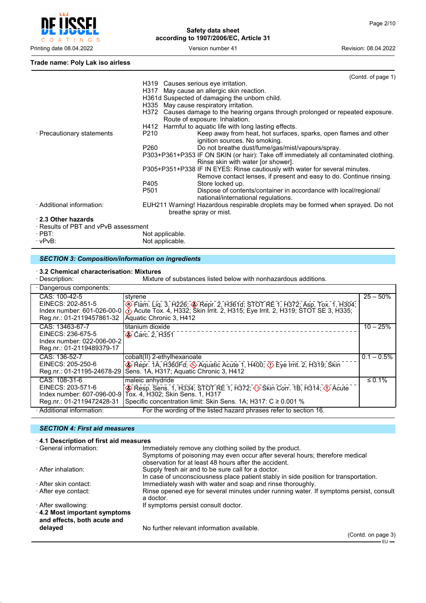

```
Trade name: Poly Lak iso airless
```

|                                      | (Contd. of page 1)                                                                                                          |
|--------------------------------------|-----------------------------------------------------------------------------------------------------------------------------|
|                                      | H319 Causes serious eye irritation.                                                                                         |
|                                      | H317 May cause an allergic skin reaction.                                                                                   |
|                                      | H361d Suspected of damaging the unborn child.                                                                               |
|                                      | H335 May cause respiratory irritation.                                                                                      |
|                                      | Causes damage to the hearing organs through prolonged or repeated exposure.<br>H372                                         |
|                                      | Route of exposure: Inhalation.                                                                                              |
|                                      | H412 Harmful to aquatic life with long lasting effects.                                                                     |
| · Precautionary statements           | Keep away from heat, hot surfaces, sparks, open flames and other<br>P210                                                    |
|                                      | ignition sources. No smoking.                                                                                               |
|                                      | Do not breathe dust/fume/gas/mist/vapours/spray.<br>P260                                                                    |
|                                      | P303+P361+P353 IF ON SKIN (or hair): Take off immediately all contaminated clothing.                                        |
|                                      | Rinse skin with water [or shower].                                                                                          |
|                                      | P305+P351+P338 IF IN EYES: Rinse cautiously with water for several minutes.                                                 |
|                                      | Remove contact lenses, if present and easy to do. Continue rinsing.                                                         |
|                                      | P405<br>Store locked up.                                                                                                    |
|                                      | P <sub>501</sub><br>Dispose of contents/container in accordance with local/regional/<br>national/international regulations. |
| · Additional information:            | EUH211 Warning! Hazardous respirable droplets may be formed when sprayed. Do not                                            |
|                                      | breathe spray or mist.                                                                                                      |
| 2.3 Other hazards                    |                                                                                                                             |
| · Results of PBT and vPvB assessment |                                                                                                                             |
| $\cdot$ PBT:                         | Not applicable.                                                                                                             |

· vPvB: Not applicable.

# *SECTION 3: Composition/information on ingredients*

#### · **3.2 Chemical characterisation: Mixtures**

| · Description:                                                                                  | Mixture of substances listed below with nonhazardous additions.                                                                                                                                                                |               |
|-------------------------------------------------------------------------------------------------|--------------------------------------------------------------------------------------------------------------------------------------------------------------------------------------------------------------------------------|---------------|
| · Dangerous components:                                                                         |                                                                                                                                                                                                                                |               |
| CAS: 100-42-5<br>EINECS: 202-851-5<br>Index number: 601-026-00-01<br>Reg.nr.: 01-2119457861-32  | styrene<br>Elam. Liq. 3, H226; Sepr. 2, H361d; STOT RE 1, H372; Asp. Tox. 1, H304;<br>$\bigcirc$ Acute Tox. 4, H332; Skin Irrit. 2, H315; Eye Irrit. 2, H319; STOT SE 3, H335;<br>Aquatic Chronic 3, H412                      | $25 - 50%$    |
| CAS: 13463-67-7<br>EINECS: 236-675-5<br>Index number: 022-006-00-2<br>Reg.nr.: 01-2119489379-17 | titanium dioxide<br>$\bigotimes$ Carc. 2, H351                                                                                                                                                                                 | $10 - 25%$    |
| CAS: 136-52-7<br>EINECS: 205-250-6<br>Reg.nr.: 01-21195-24678-29                                | cobalt(II) 2-ethylhexanoate<br>Repr. 1A, H360Fd; $\Diamond$ Aquatic Acute 1, H400; $\Diamond$ Eye Irrit. 2, H319; Skin<br>Sens. 1A, H317; Aquatic Chronic 3, H412                                                              | $0.1 - 0.5\%$ |
| CAS: 108-31-6<br>EINECS: 203-571-6<br>Index number: 607-096-00-91<br>Reg.nr.: 01-2119472428-31  | maleic anhydride<br>Resp. Sens. 1, H334; STOT RE 1, H372; $\leftrightarrow$ Skin Corr. 1B, H314; $\leftrightarrow$ Acute<br>Tox. 4, H302; Skin Sens. 1, H317<br>Specific concentration limit: Skin Sens. 1A; H317: C ≥ 0.001 % | $\leq 0.1\%$  |
| · Additional information:                                                                       | For the wording of the listed hazard phrases refer to section 16.                                                                                                                                                              |               |

## *SECTION 4: First aid measures*

| 4.1 Description of first aid measures                      |                                                                                                                                      |
|------------------------------------------------------------|--------------------------------------------------------------------------------------------------------------------------------------|
| · General information:                                     | Immediately remove any clothing soiled by the product.                                                                               |
|                                                            | Symptoms of poisoning may even occur after several hours; therefore medical<br>observation for at least 48 hours after the accident. |
| · After inhalation:                                        | Supply fresh air and to be sure call for a doctor.                                                                                   |
|                                                            | In case of unconsciousness place patient stably in side position for transportation.                                                 |
| · After skin contact:                                      | Immediately wash with water and soap and rinse thoroughly.                                                                           |
| ⋅ After eye contact:                                       | Rinse opened eye for several minutes under running water. If symptoms persist, consult<br>a doctor.                                  |
| · After swallowing:                                        | If symptoms persist consult doctor.                                                                                                  |
| 4.2 Most important symptoms<br>and effects, both acute and |                                                                                                                                      |
| delayed                                                    | No further relevant information available.                                                                                           |
|                                                            | (Contd. on page 3)                                                                                                                   |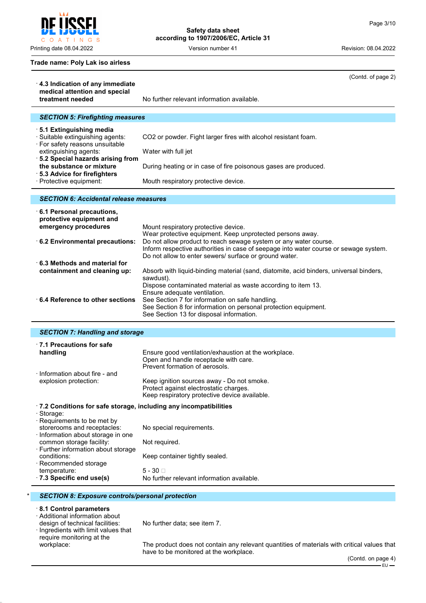POFI Į C O A T I N G S

**Safety data sheet according to 1907/2006/EC, Article 31**

Printing date 08.04.2022 **Version number 41** Version number 41 Revision: 08.04.2022

(Contd. of page 2)

#### **Trade name: Poly Lak iso airless**

| 4.3 Indication of any immediate<br>medical attention and special                                          |                                                                                                                                                                                                                    |  |  |  |
|-----------------------------------------------------------------------------------------------------------|--------------------------------------------------------------------------------------------------------------------------------------------------------------------------------------------------------------------|--|--|--|
| treatment needed                                                                                          | No further relevant information available.                                                                                                                                                                         |  |  |  |
| <b>SECTION 5: Firefighting measures</b>                                                                   |                                                                                                                                                                                                                    |  |  |  |
| 5.1 Extinguishing media<br>· Suitable extinguishing agents:                                               | CO2 or powder. Fight larger fires with alcohol resistant foam.                                                                                                                                                     |  |  |  |
| · For safety reasons unsuitable<br>extinguishing agents:                                                  | Water with full jet                                                                                                                                                                                                |  |  |  |
| · 5.2 Special hazards arising from<br>the substance or mixture<br>· 5.3 Advice for firefighters           | During heating or in case of fire poisonous gases are produced.                                                                                                                                                    |  |  |  |
| · Protective equipment:                                                                                   | Mouth respiratory protective device.                                                                                                                                                                               |  |  |  |
| <b>SECTION 6: Accidental release measures</b>                                                             |                                                                                                                                                                                                                    |  |  |  |
| 6.1 Personal precautions,<br>protective equipment and                                                     |                                                                                                                                                                                                                    |  |  |  |
| emergency procedures<br>6.2 Environmental precautions:                                                    | Mount respiratory protective device.<br>Wear protective equipment. Keep unprotected persons away.<br>Do not allow product to reach sewage system or any water course.                                              |  |  |  |
|                                                                                                           | Inform respective authorities in case of seepage into water course or sewage system.<br>Do not allow to enter sewers/ surface or ground water.                                                                     |  |  |  |
| $\cdot$ 6.3 Methods and material for<br>containment and cleaning up:                                      | Absorb with liquid-binding material (sand, diatomite, acid binders, universal binders,<br>sawdust).                                                                                                                |  |  |  |
| ⋅6.4 Reference to other sections                                                                          | Dispose contaminated material as waste according to item 13.<br>Ensure adequate ventilation.<br>See Section 7 for information on safe handling.<br>See Section 8 for information on personal protection equipment. |  |  |  |
|                                                                                                           | See Section 13 for disposal information.                                                                                                                                                                           |  |  |  |
| <b>SECTION 7: Handling and storage</b>                                                                    |                                                                                                                                                                                                                    |  |  |  |
| $\cdot$ 7.1 Precautions for safe<br>handling                                                              | Ensure good ventilation/exhaustion at the workplace.<br>Open and handle receptacle with care.<br>Prevent formation of aerosols.                                                                                    |  |  |  |
| · Information about fire - and<br>explosion protection:                                                   | Keep ignition sources away - Do not smoke.<br>Protect against electrostatic charges.<br>Keep respiratory protective device available.                                                                              |  |  |  |
| .7.2 Conditions for safe storage, including any incompatibilities                                         |                                                                                                                                                                                                                    |  |  |  |
| · Storage:<br>· Requirements to be met by<br>storerooms and receptacles:                                  | No special requirements.                                                                                                                                                                                           |  |  |  |
| · Information about storage in one<br>common storage facility:<br>· Further information about storage     | Not required.                                                                                                                                                                                                      |  |  |  |
| conditions:<br>· Recommended storage                                                                      | Keep container tightly sealed.                                                                                                                                                                                     |  |  |  |
| temperature:<br>.7.3 Specific end use(s)                                                                  | $5 - 30$<br>No further relevant information available.                                                                                                                                                             |  |  |  |
| <b>SECTION 8: Exposure controls/personal protection</b>                                                   |                                                                                                                                                                                                                    |  |  |  |
| 8.1 Control parameters                                                                                    |                                                                                                                                                                                                                    |  |  |  |
| · Additional information about<br>design of technical facilities:<br>· Ingredients with limit values that | No further data; see item 7.                                                                                                                                                                                       |  |  |  |
| require monitoring at the<br>workplace:                                                                   |                                                                                                                                                                                                                    |  |  |  |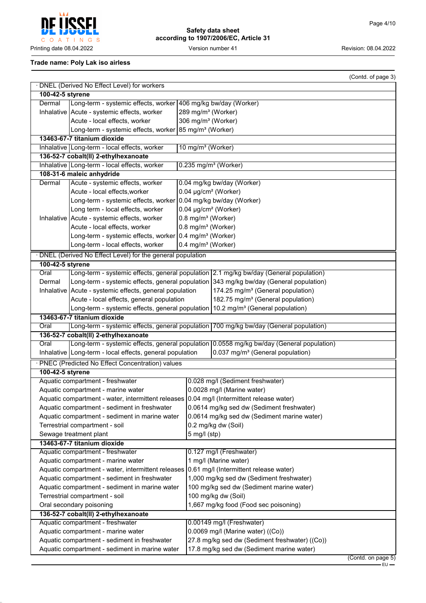eeci Į C O A T I N G S Printing date 08.04.2022 **Version number 41** Version number 41 Revision: 08.04.2022

**Safety data sheet according to 1907/2006/EC, Article 31**

#### **Trade name: Poly Lak iso airless**

|                                                                                                |                                                                                                                                                                                                         |                                                                    |                                                                                        | (Contd. of page 3) |
|------------------------------------------------------------------------------------------------|---------------------------------------------------------------------------------------------------------------------------------------------------------------------------------------------------------|--------------------------------------------------------------------|----------------------------------------------------------------------------------------|--------------------|
|                                                                                                | · DNEL (Derived No Effect Level) for workers                                                                                                                                                            |                                                                    |                                                                                        |                    |
| 100-42-5 styrene                                                                               |                                                                                                                                                                                                         |                                                                    |                                                                                        |                    |
| Dermal                                                                                         | Long-term - systemic effects, worker 406 mg/kg bw/day (Worker)                                                                                                                                          |                                                                    |                                                                                        |                    |
|                                                                                                | Inhalative Acute - systemic effects, worker                                                                                                                                                             | 289 mg/m <sup>3</sup> (Worker)                                     |                                                                                        |                    |
|                                                                                                | Acute - local effects, worker                                                                                                                                                                           | 306 mg/m <sup>3</sup> (Worker)                                     |                                                                                        |                    |
|                                                                                                | Long-term - systemic effects, worker 85 mg/m <sup>3</sup> (Worker)                                                                                                                                      |                                                                    |                                                                                        |                    |
|                                                                                                | 13463-67-7 titanium dioxide                                                                                                                                                                             |                                                                    |                                                                                        |                    |
|                                                                                                | Inhalative   Long-term - local effects, worker                                                                                                                                                          | 10 mg/m <sup>3</sup> (Worker)                                      |                                                                                        |                    |
|                                                                                                | 136-52-7 cobalt(II) 2-ethylhexanoate                                                                                                                                                                    |                                                                    |                                                                                        |                    |
|                                                                                                | Inhalative Long-term - local effects, worker                                                                                                                                                            | $0.235$ mg/m <sup>3</sup> (Worker)                                 |                                                                                        |                    |
|                                                                                                | 108-31-6 maleic anhydride                                                                                                                                                                               |                                                                    |                                                                                        |                    |
| Dermal                                                                                         | Acute - systemic effects, worker                                                                                                                                                                        |                                                                    | 0.04 mg/kg bw/day (Worker)                                                             |                    |
|                                                                                                | Acute - local effects, worker                                                                                                                                                                           | 0.04 µg/cm <sup>2</sup> (Worker)                                   |                                                                                        |                    |
|                                                                                                | Long-term - systemic effects, worker 0.04 mg/kg bw/day (Worker)                                                                                                                                         |                                                                    |                                                                                        |                    |
|                                                                                                | Long term - local effects, worker                                                                                                                                                                       | 0.04 µg/cm <sup>2</sup> (Worker)<br>0.8 mg/m <sup>3</sup> (Worker) |                                                                                        |                    |
|                                                                                                | Inhalative   Acute - systemic effects, worker<br>Acute - local effects, worker                                                                                                                          | 0.8 mg/m <sup>3</sup> (Worker)                                     |                                                                                        |                    |
|                                                                                                | Long-term - systemic effects, worker 0.4 mg/m <sup>3</sup> (Worker)                                                                                                                                     |                                                                    |                                                                                        |                    |
|                                                                                                | Long-term - local effects, worker                                                                                                                                                                       | 0.4 mg/m <sup>3</sup> (Worker)                                     |                                                                                        |                    |
|                                                                                                |                                                                                                                                                                                                         |                                                                    |                                                                                        |                    |
|                                                                                                | · DNEL (Derived No Effect Level) for the general population                                                                                                                                             |                                                                    |                                                                                        |                    |
| 100-42-5 styrene<br>Oral                                                                       |                                                                                                                                                                                                         |                                                                    | Long-term - systemic effects, general population 2.1 mg/kg bw/day (General population) |                    |
| Dermal                                                                                         |                                                                                                                                                                                                         |                                                                    | Long-term - systemic effects, general population 343 mg/kg bw/day (General population) |                    |
|                                                                                                | Inhalative   Acute - systemic effects, general population                                                                                                                                               |                                                                    | 174.25 mg/m <sup>3</sup> (General population)                                          |                    |
|                                                                                                | Acute - local effects, general population                                                                                                                                                               |                                                                    | 182.75 mg/m <sup>3</sup> (General population)                                          |                    |
|                                                                                                | Long-term - systemic effects, general population 10.2 mg/m <sup>3</sup> (General population)                                                                                                            |                                                                    |                                                                                        |                    |
|                                                                                                | 13463-67-7 titanium dioxide                                                                                                                                                                             |                                                                    |                                                                                        |                    |
| Oral                                                                                           |                                                                                                                                                                                                         |                                                                    | Long-term - systemic effects, general population 700 mg/kg bw/day (General population) |                    |
|                                                                                                | 136-52-7 cobalt(II) 2-ethylhexanoate                                                                                                                                                                    |                                                                    |                                                                                        |                    |
| Oral                                                                                           |                                                                                                                                                                                                         |                                                                    |                                                                                        |                    |
|                                                                                                | Long-term - systemic effects, general population 0.0558 mg/kg bw/day (General population)<br>Inhalative   Long-term - local effects, general population<br>0.037 mg/m <sup>3</sup> (General population) |                                                                    |                                                                                        |                    |
|                                                                                                | · PNEC (Predicted No Effect Concentration) values                                                                                                                                                       |                                                                    |                                                                                        |                    |
| 100-42-5 styrene                                                                               |                                                                                                                                                                                                         |                                                                    |                                                                                        |                    |
|                                                                                                | Aquatic compartment - freshwater                                                                                                                                                                        |                                                                    | 0.028 mg/l (Sediment freshwater)                                                       |                    |
|                                                                                                | Aquatic compartment - marine water                                                                                                                                                                      |                                                                    | 0.0028 mg/l (Marine water)                                                             |                    |
|                                                                                                | Aquatic compartment - water, intermittent releases 0.04 mg/l (Intermittent release water)                                                                                                               |                                                                    |                                                                                        |                    |
|                                                                                                | Aquatic compartment - sediment in freshwater                                                                                                                                                            |                                                                    | 0.0614 mg/kg sed dw (Sediment freshwater)                                              |                    |
|                                                                                                | Aquatic compartment - sediment in marine water                                                                                                                                                          |                                                                    | 0.0614 mg/kg sed dw (Sediment marine water)                                            |                    |
|                                                                                                | Terrestrial compartment - soil                                                                                                                                                                          |                                                                    | 0.2 mg/kg dw (Soil)                                                                    |                    |
|                                                                                                | Sewage treatment plant                                                                                                                                                                                  | $5$ mg/l (stp)                                                     |                                                                                        |                    |
| 13463-67-7 titanium dioxide                                                                    |                                                                                                                                                                                                         |                                                                    |                                                                                        |                    |
|                                                                                                | Aquatic compartment - freshwater                                                                                                                                                                        |                                                                    | 0.127 mg/l (Freshwater)                                                                |                    |
| Aquatic compartment - marine water                                                             |                                                                                                                                                                                                         |                                                                    | 1 mg/l (Marine water)                                                                  |                    |
|                                                                                                | Aquatic compartment - water, intermittent releases                                                                                                                                                      |                                                                    | 0.61 mg/l (Intermittent release water)                                                 |                    |
|                                                                                                | Aquatic compartment - sediment in freshwater<br>1,000 mg/kg sed dw (Sediment freshwater)                                                                                                                |                                                                    |                                                                                        |                    |
|                                                                                                | Aquatic compartment - sediment in marine water<br>100 mg/kg sed dw (Sediment marine water)                                                                                                              |                                                                    |                                                                                        |                    |
|                                                                                                | Terrestrial compartment - soil                                                                                                                                                                          |                                                                    | 100 mg/kg dw (Soil)                                                                    |                    |
|                                                                                                | Oral secondary poisoning                                                                                                                                                                                |                                                                    | 1,667 mg/kg food (Food sec poisoning)                                                  |                    |
|                                                                                                | 136-52-7 cobalt(II) 2-ethylhexanoate                                                                                                                                                                    |                                                                    |                                                                                        |                    |
|                                                                                                | Aquatic compartment - freshwater                                                                                                                                                                        |                                                                    | 0.00149 mg/l (Freshwater)                                                              |                    |
|                                                                                                | $0.0069$ mg/l (Marine water) ((Co))<br>Aquatic compartment - marine water                                                                                                                               |                                                                    |                                                                                        |                    |
| 27.8 mg/kg sed dw (Sediment freshwater) ((Co))<br>Aquatic compartment - sediment in freshwater |                                                                                                                                                                                                         |                                                                    |                                                                                        |                    |
| Aquatic compartment - sediment in marine water                                                 |                                                                                                                                                                                                         |                                                                    | 17.8 mg/kg sed dw (Sediment marine water)                                              |                    |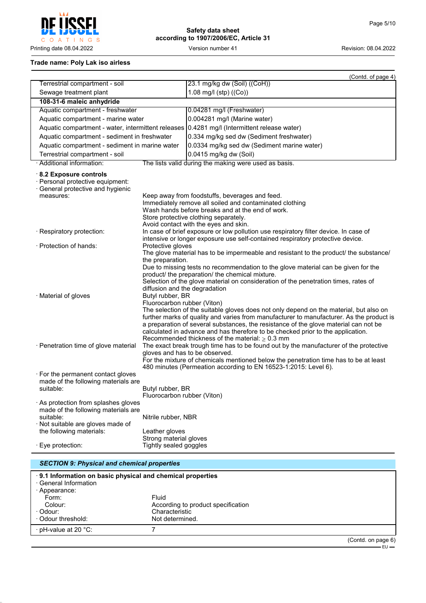

**Safety data sheet according to 1907/2006/EC, Article 31**

## **Trade name: Poly Lak iso airless**

|                                                                                                                                |                                                                                                                                                                                                                                                                                                                                                                                                                                                                                                                       | (Contd. of page 4)                                                                                                                                                                                                                                                                                                                                                                                                |
|--------------------------------------------------------------------------------------------------------------------------------|-----------------------------------------------------------------------------------------------------------------------------------------------------------------------------------------------------------------------------------------------------------------------------------------------------------------------------------------------------------------------------------------------------------------------------------------------------------------------------------------------------------------------|-------------------------------------------------------------------------------------------------------------------------------------------------------------------------------------------------------------------------------------------------------------------------------------------------------------------------------------------------------------------------------------------------------------------|
| Terrestrial compartment - soil                                                                                                 |                                                                                                                                                                                                                                                                                                                                                                                                                                                                                                                       | 23.1 mg/kg dw (Soil) ((CoH))                                                                                                                                                                                                                                                                                                                                                                                      |
| Sewage treatment plant                                                                                                         |                                                                                                                                                                                                                                                                                                                                                                                                                                                                                                                       | 1.08 mg/l (stp) ((Co))                                                                                                                                                                                                                                                                                                                                                                                            |
| 108-31-6 maleic anhydride                                                                                                      |                                                                                                                                                                                                                                                                                                                                                                                                                                                                                                                       |                                                                                                                                                                                                                                                                                                                                                                                                                   |
| Aquatic compartment - freshwater                                                                                               |                                                                                                                                                                                                                                                                                                                                                                                                                                                                                                                       | 0.04281 mg/l (Freshwater)                                                                                                                                                                                                                                                                                                                                                                                         |
| Aquatic compartment - marine water                                                                                             |                                                                                                                                                                                                                                                                                                                                                                                                                                                                                                                       | 0.004281 mg/l (Marine water)                                                                                                                                                                                                                                                                                                                                                                                      |
| Aquatic compartment - water, intermittent releases                                                                             |                                                                                                                                                                                                                                                                                                                                                                                                                                                                                                                       | 0.4281 mg/l (Intermittent release water)                                                                                                                                                                                                                                                                                                                                                                          |
| Aquatic compartment - sediment in freshwater                                                                                   |                                                                                                                                                                                                                                                                                                                                                                                                                                                                                                                       | 0.334 mg/kg sed dw (Sediment freshwater)                                                                                                                                                                                                                                                                                                                                                                          |
| Aquatic compartment - sediment in marine water                                                                                 |                                                                                                                                                                                                                                                                                                                                                                                                                                                                                                                       | 0.0334 mg/kg sed dw (Sediment marine water)                                                                                                                                                                                                                                                                                                                                                                       |
| Terrestrial compartment - soil                                                                                                 |                                                                                                                                                                                                                                                                                                                                                                                                                                                                                                                       | 0.0415 mg/kg dw (Soil)                                                                                                                                                                                                                                                                                                                                                                                            |
| · Additional information:                                                                                                      |                                                                                                                                                                                                                                                                                                                                                                                                                                                                                                                       | The lists valid during the making were used as basis.                                                                                                                                                                                                                                                                                                                                                             |
| 8.2 Exposure controls<br>· Personal protective equipment:<br>General protective and hygienic<br>measures:                      |                                                                                                                                                                                                                                                                                                                                                                                                                                                                                                                       | Keep away from foodstuffs, beverages and feed.<br>Immediately remove all soiled and contaminated clothing<br>Wash hands before breaks and at the end of work.<br>Store protective clothing separately.<br>Avoid contact with the eyes and skin.                                                                                                                                                                   |
| · Respiratory protection:                                                                                                      |                                                                                                                                                                                                                                                                                                                                                                                                                                                                                                                       | In case of brief exposure or low pollution use respiratory filter device. In case of<br>intensive or longer exposure use self-contained respiratory protective device.                                                                                                                                                                                                                                            |
| · Protection of hands:                                                                                                         | Protective gloves                                                                                                                                                                                                                                                                                                                                                                                                                                                                                                     | The glove material has to be impermeable and resistant to the product/ the substance/                                                                                                                                                                                                                                                                                                                             |
| · Material of gloves                                                                                                           | the preparation.<br>diffusion and the degradation<br>Butyl rubber, BR<br>Fluorocarbon rubber (Viton)                                                                                                                                                                                                                                                                                                                                                                                                                  | Due to missing tests no recommendation to the glove material can be given for the<br>product/ the preparation/ the chemical mixture.<br>Selection of the glove material on consideration of the penetration times, rates of<br>The selection of the suitable gloves does not only depend on the material, but also on<br>further marks of quality and varies from manufacturer to manufacturer. As the product is |
| · Penetration time of glove material                                                                                           | a preparation of several substances, the resistance of the glove material can not be<br>calculated in advance and has therefore to be checked prior to the application.<br>Recommended thickness of the material: $\geq 0.3$ mm<br>The exact break trough time has to be found out by the manufacturer of the protective<br>gloves and has to be observed.<br>For the mixture of chemicals mentioned below the penetration time has to be at least<br>480 minutes (Permeation according to EN 16523-1:2015: Level 6). |                                                                                                                                                                                                                                                                                                                                                                                                                   |
| · For the permanent contact gloves<br>made of the following materials are<br>suitable:<br>· As protection from splashes gloves | Butyl rubber, BR<br>Fluorocarbon rubber (Viton)                                                                                                                                                                                                                                                                                                                                                                                                                                                                       |                                                                                                                                                                                                                                                                                                                                                                                                                   |
| made of the following materials are<br>suitable:<br>· Not suitable are gloves made of<br>the following materials:              | Nitrile rubber, NBR<br>Leather gloves                                                                                                                                                                                                                                                                                                                                                                                                                                                                                 |                                                                                                                                                                                                                                                                                                                                                                                                                   |
| · Eye protection:                                                                                                              | Strong material gloves<br>Tightly sealed goggles                                                                                                                                                                                                                                                                                                                                                                                                                                                                      |                                                                                                                                                                                                                                                                                                                                                                                                                   |
| <b>SECTION 9: Physical and chemical properties</b>                                                                             |                                                                                                                                                                                                                                                                                                                                                                                                                                                                                                                       |                                                                                                                                                                                                                                                                                                                                                                                                                   |

|                       | 9.1 Information on basic physical and chemical properties |                |
|-----------------------|-----------------------------------------------------------|----------------|
| · General Information |                                                           |                |
| · Appearance:         |                                                           |                |
| Form:                 | Fluid                                                     |                |
| Colour:               | According to product specification                        |                |
| · Odour:              | Characteristic                                            |                |
| Odour threshold:      | Not determined.                                           |                |
| · pH-value at 20 °C:  |                                                           |                |
|                       |                                                           | (Contdonposee) |

(Contd. on page 6)

EU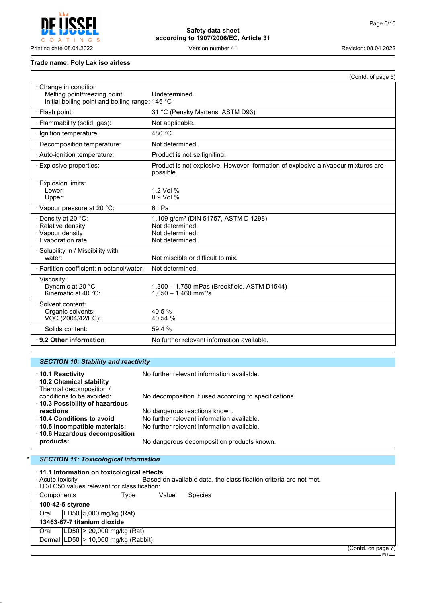$\mathsf{C}$  $\circ$ A T INGS

# **Safety data sheet according to 1907/2006/EC, Article 31**

Printing date 08.04.2022 Version number 41 Revision: 08.04.2022

#### **Trade name: Poly Lak iso airless**

|                                                                                                         | (Contd. of page 5)                                                                                        |
|---------------------------------------------------------------------------------------------------------|-----------------------------------------------------------------------------------------------------------|
| Change in condition<br>Melting point/freezing point:<br>Initial boiling point and boiling range: 145 °C | Undetermined.                                                                                             |
| · Flash point:                                                                                          | 31 °C (Pensky Martens, ASTM D93)                                                                          |
| · Flammability (solid, gas):                                                                            | Not applicable.                                                                                           |
| · Ignition temperature:                                                                                 | 480 °C                                                                                                    |
| · Decomposition temperature:                                                                            | Not determined.                                                                                           |
| · Auto-ignition temperature:                                                                            | Product is not selfigniting.                                                                              |
| · Explosive properties:                                                                                 | Product is not explosive. However, formation of explosive air/vapour mixtures are<br>possible.            |
| Explosion limits:<br>Lower:<br>Upper:                                                                   | 1.2 Vol %<br>8.9 Vol %                                                                                    |
| · Vapour pressure at 20 °C:                                                                             | 6 <sub>hPa</sub>                                                                                          |
| · Density at 20 °C:<br>· Relative density<br>· Vapour density<br>· Evaporation rate                     | 1.109 g/cm <sup>3</sup> (DIN 51757, ASTM D 1298)<br>Not determined.<br>Not determined.<br>Not determined. |
| · Solubility in / Miscibility with<br>water:                                                            | Not miscible or difficult to mix.                                                                         |
| · Partition coefficient: n-octanol/water:                                                               | Not determined.                                                                                           |
| · Viscosity:<br>Dynamic at 20 °C:<br>Kinematic at 40 $°C$ :                                             | 1,300 - 1,750 mPas (Brookfield, ASTM D1544)<br>$1,050 - 1,460$ mm <sup>2</sup> /s                         |
| Solvent content:<br>Organic solvents:<br>VOC (2004/42/EC):                                              | 40.5%<br>40.54 %                                                                                          |
| Solids content:                                                                                         | 59.4 %                                                                                                    |
| $\cdot$ 9.2 Other information                                                                           | No further relevant information available.                                                                |

## *SECTION 10: Stability and reactivity*

| 10.1 Reactivity<br>10.2 Chemical stability<br>· Thermal decomposition / | No further relevant information available.            |
|-------------------------------------------------------------------------|-------------------------------------------------------|
| conditions to be avoided:                                               | No decomposition if used according to specifications. |
| 10.3 Possibility of hazardous                                           |                                                       |
| reactions                                                               | No dangerous reactions known.                         |
| 10.4 Conditions to avoid                                                | No further relevant information available.            |
| 10.5 Incompatible materials:                                            | No further relevant information available.            |
| ⋅ 10.6 Hazardous decomposition                                          |                                                       |
| products:                                                               | No dangerous decomposition products known.            |

#### **SECTION 11: Toxicological information**

· **11.1 Information on toxicological effects**

· Acute toxicity Based on available data, the classification criteria are not met.

|                  |  | · LD/LC50 values relevant for classification: |       |                |  |                    |
|------------------|--|-----------------------------------------------|-------|----------------|--|--------------------|
| ⋅ Components     |  | Type                                          | Value | <b>Species</b> |  |                    |
| 100-42-5 styrene |  |                                               |       |                |  |                    |
| Oral             |  | LD50 5,000 mg/kg (Rat)                        |       |                |  |                    |
|                  |  | 13463-67-7 titanium dioxide                   |       |                |  |                    |
| Oral             |  | $ LD50  > 20,000$ mg/kg (Rat)                 |       |                |  |                    |
|                  |  | Dermal $ LD50  > 10,000$ mg/kg (Rabbit)       |       |                |  |                    |
|                  |  |                                               |       |                |  | (Contd. on page 7) |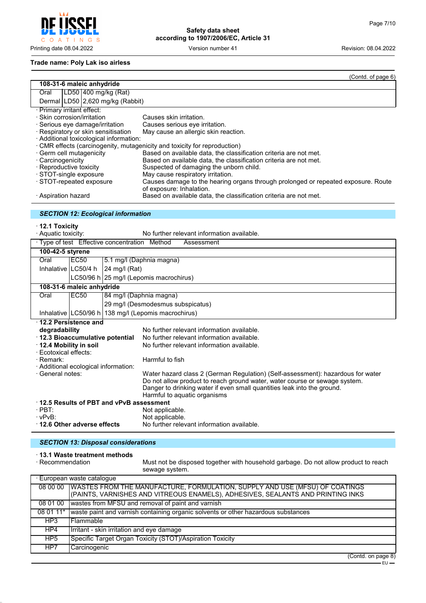$\mathsf C$ O A T I N G S

**Safety data sheet according to 1907/2006/EC, Article 31**

Printing date 08.04.2022 Version number 41 Revision: 08.04.2022

#### **Trade name: Poly Lak iso airless**

|                                                                   | (Contd. o <u>f page 6)</u>                                                                                    |  |  |
|-------------------------------------------------------------------|---------------------------------------------------------------------------------------------------------------|--|--|
| 108-31-6 maleic anhydride                                         |                                                                                                               |  |  |
| LD50 400 mg/kg (Rat)<br>Oral                                      |                                                                                                               |  |  |
| Dermal LD50 2,620 mg/kg (Rabbit)                                  |                                                                                                               |  |  |
| · Primary irritant effect:                                        |                                                                                                               |  |  |
| · Skin corrosion/irritation                                       | Causes skin irritation.                                                                                       |  |  |
| · Serious eye damage/irritation                                   | Causes serious eye irritation.                                                                                |  |  |
| · Respiratory or skin sensitisation                               | May cause an allergic skin reaction.                                                                          |  |  |
| · Additional toxicological information:                           |                                                                                                               |  |  |
|                                                                   | · CMR effects (carcinogenity, mutagenicity and toxicity for reproduction)                                     |  |  |
| · Germ cell mutagenicity                                          | Based on available data, the classification criteria are not met.                                             |  |  |
| · Carcinogenicity                                                 | Based on available data, the classification criteria are not met.                                             |  |  |
| · Reproductive toxicity                                           | Suspected of damaging the unborn child.                                                                       |  |  |
| · STOT-single exposure                                            | May cause respiratory irritation.                                                                             |  |  |
| STOT-repeated exposure                                            | Causes damage to the hearing organs through prolonged or repeated exposure. Route<br>of exposure: Inhalation. |  |  |
| · Aspiration hazard                                               | Based on available data, the classification criteria are not met.                                             |  |  |
| <b>SECTION 12: Ecological information</b>                         |                                                                                                               |  |  |
|                                                                   |                                                                                                               |  |  |
| $\cdot$ 12.1 Toxicity                                             |                                                                                                               |  |  |
| No further relevant information available.<br>· Aquatic toxicity: |                                                                                                               |  |  |
| · Type of test Effective concentration Method<br>Assessment       |                                                                                                               |  |  |
| 100-42-5 styrene                                                  |                                                                                                               |  |  |
| Oral<br>EC50                                                      | 5.1 mg/l (Daphnia magna)                                                                                      |  |  |
| Inhalative II C50/4 h<br>$24 \text{ mol}$ (Rat)                   |                                                                                                               |  |  |

|                                         | Inhalative $ LG50/4 h $ 24 mg/l (Rat) |                                         |                                                                                                                                                       |  |  |
|-----------------------------------------|---------------------------------------|-----------------------------------------|-------------------------------------------------------------------------------------------------------------------------------------------------------|--|--|
|                                         |                                       | LC50/96 h 25 mg/l (Lepomis macrochirus) |                                                                                                                                                       |  |  |
|                                         | 108-31-6 maleic anhydride             |                                         |                                                                                                                                                       |  |  |
| Oral                                    | EC50                                  | 84 mg/l (Daphnia magna)                 |                                                                                                                                                       |  |  |
|                                         |                                       | 29 mg/l (Desmodesmus subspicatus)       |                                                                                                                                                       |  |  |
|                                         |                                       |                                         | Inhalative   LC50/96 h   138 mg/l (Lepomis macrochirus)                                                                                               |  |  |
| $\cdot$ 12.2 Persistence and            |                                       |                                         |                                                                                                                                                       |  |  |
| degradability                           |                                       |                                         | No further relevant information available.                                                                                                            |  |  |
| $\cdot$ 12.3 Bioaccumulative potential  |                                       |                                         | No further relevant information available.                                                                                                            |  |  |
| $\cdot$ 12.4 Mobility in soil           |                                       |                                         | No further relevant information available.                                                                                                            |  |  |
| · Ecotoxical effects:                   |                                       |                                         |                                                                                                                                                       |  |  |
| · Remark:                               |                                       |                                         | Harmful to fish                                                                                                                                       |  |  |
| · Additional ecological information:    |                                       |                                         |                                                                                                                                                       |  |  |
| · General notes:                        |                                       |                                         | Water hazard class 2 (German Regulation) (Self-assessment): hazardous for water                                                                       |  |  |
|                                         |                                       |                                         | Do not allow product to reach ground water, water course or sewage system.<br>Danger to drinking water if even small quantities leak into the ground. |  |  |
|                                         |                                       |                                         | Harmful to aquatic organisms                                                                                                                          |  |  |
| 12.5 Results of PBT and vPvB assessment |                                       |                                         |                                                                                                                                                       |  |  |
| $\cdot$ PBT:                            |                                       |                                         | Not applicable.                                                                                                                                       |  |  |
| $\cdot$ vPvB:                           |                                       |                                         | Not applicable.                                                                                                                                       |  |  |
| 12.6 Other adverse effects              |                                       |                                         | No further relevant information available.                                                                                                            |  |  |

#### *SECTION 13: Disposal considerations*

# · **13.1 Waste treatment methods**

Must not be disposed together with household garbage. Do not allow product to reach sewage system.

|                 | · European waste cataloque                                                                                                                                     |
|-----------------|----------------------------------------------------------------------------------------------------------------------------------------------------------------|
| 08 00 00        | WASTES FROM THE MANUFACTURE, FORMULATION, SUPPLY AND USE (MFSU) OF COATINGS<br>(PAINTS, VARNISHES AND VITREOUS ENAMELS), ADHESIVES, SEALANTS AND PRINTING INKS |
| 08 01 00        | wastes from MFSU and removal of paint and varnish                                                                                                              |
| 08 01 11*       | waste paint and varnish containing organic solvents or other hazardous substances                                                                              |
| HP3             | l Flammable                                                                                                                                                    |
| HP4             | Irritant - skin irritation and eye damage                                                                                                                      |
| HP <sub>5</sub> | Specific Target Organ Toxicity (STOT)/Aspiration Toxicity                                                                                                      |
| HP7             | Carcinogenic                                                                                                                                                   |

(Contd. on page 8) – EU –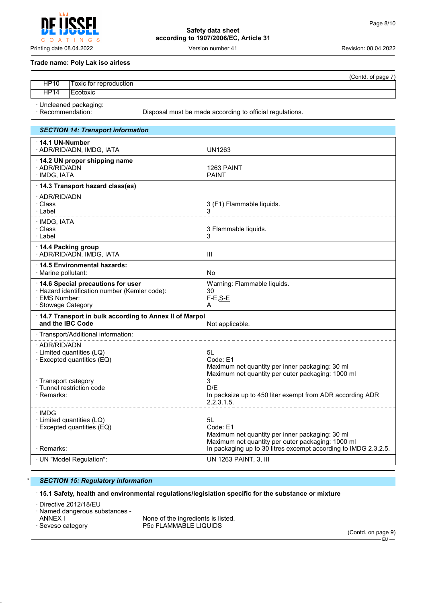**Safety data sheet according to 1907/2006/EC, Article 31**

Printing date 08.04.2022 Version number 41 Revision: 08.04.2022

#### **Trade name: Poly Lak iso airless**

INGS

|             | 'Contd.<br>$\rightarrow$<br>O1<br>nagr |
|-------------|----------------------------------------|
| <b>HP10</b> | oxic for reproduction!                 |
| HP14        | -<br>Ecotoxic                          |

· Uncleaned packaging:

 $T$ 

 $\circ$  $\overline{A}$ 

Disposal must be made according to official regulations.

| <b>SECTION 14: Transport information</b>                                                                                  |                                                                                                                        |
|---------------------------------------------------------------------------------------------------------------------------|------------------------------------------------------------------------------------------------------------------------|
| 14.1 UN-Number<br>· ADR/RID/ADN, IMDG, IATA                                                                               | UN1263                                                                                                                 |
| 14.2 UN proper shipping name<br>· ADR/RID/ADN<br>· IMDG, IATA                                                             | 1263 PAINT<br><b>PAINT</b>                                                                                             |
| 14.3 Transport hazard class(es)                                                                                           |                                                                                                                        |
| · ADR/RID/ADN<br>· Class<br>∴Label                                                                                        | 3 (F1) Flammable liquids.<br>_________________                                                                         |
| · IMDG, IATA<br>· Class<br>· Label                                                                                        | 3 Flammable liquids.<br>3                                                                                              |
| 14.4 Packing group<br>· ADR/RID/ADN, IMDG, IATA                                                                           | Ш                                                                                                                      |
| ⋅14.5 Environmental hazards:<br>· Marine pollutant:                                                                       | <b>No</b>                                                                                                              |
| 14.6 Special precautions for user<br>· Hazard identification number (Kemler code):<br>· EMS Number:<br>· Stowage Category | Warning: Flammable liquids.<br>30<br>$F-E, S-E$<br>A                                                                   |
| 14.7 Transport in bulk according to Annex II of Marpol<br>and the IBC Code                                                | Not applicable.                                                                                                        |
| · Transport/Additional information:                                                                                       |                                                                                                                        |
| · ADR/RID/ADN<br>· Limited quantities (LQ)<br>· Excepted quantities (EQ)                                                  | 5L<br>Code: E1<br>Maximum net quantity per inner packaging: 30 ml<br>Maximum net quantity per outer packaging: 1000 ml |
| · Transport category<br>· Tunnel restriction code<br>· Remarks:                                                           | 3<br>D/F<br>In packsize up to 450 liter exempt from ADR according ADR<br>2.2.3.1.5.                                    |
| · IMDG<br>· Limited quantities (LQ)<br>$\cdot$ Excepted quantities (EQ)                                                   | 5L<br>Code: E1<br>Maximum net quantity per inner packaging: 30 ml<br>Maximum net quantity per outer packaging: 1000 ml |
| $\cdot$ Remarks:                                                                                                          | In packaging up to 30 litres excempt according to IMDG 2.3.2.5.                                                        |
| · UN "Model Regulation":                                                                                                  | UN 1263 PAINT, 3, III                                                                                                  |

#### \* *SECTION 15: Regulatory information*

#### · **15.1 Safety, health and environmental regulations/legislation specific for the substance or mixture**

· Directive 2012/18/EU

· Named dangerous substances -

ANNEX I THE SECTE IN NONE Of the ingredients is listed.<br>
Seveso category The SECTLAMMABLE LIQUIDS P5c FLAMMABLE LIQUIDS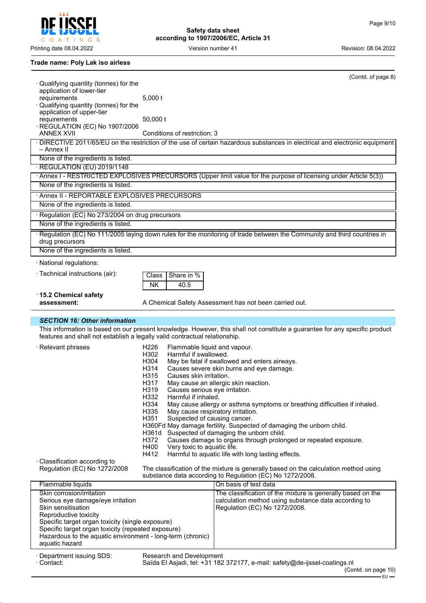O A T I N G S

Printing date 08.04.2022 **Version number 41** Version number 41 Revision: 08.04.2022

 $\mathsf{C}$ 

## **Safety data sheet according to 1907/2006/EC, Article 31**

#### **Trade name: Poly Lak iso airless**

|                                                                                                                  |                                                                       | (Contd. of page 8)                                                                                                          |
|------------------------------------------------------------------------------------------------------------------|-----------------------------------------------------------------------|-----------------------------------------------------------------------------------------------------------------------------|
| · Qualifying quantity (tonnes) for the                                                                           |                                                                       |                                                                                                                             |
| application of lower-tier<br>requirements                                                                        | $5,000$ t                                                             |                                                                                                                             |
| Qualifying quantity (tonnes) for the                                                                             |                                                                       |                                                                                                                             |
| application of upper-tier                                                                                        |                                                                       |                                                                                                                             |
| requirements<br>· REGULATION (EC) No 1907/2006                                                                   | 50,000 t                                                              |                                                                                                                             |
| <b>ANNEX XVII</b>                                                                                                | Conditions of restriction: 3                                          |                                                                                                                             |
|                                                                                                                  |                                                                       | · DIRECTIVE 2011/65/EU on the restriction of the use of certain hazardous substances in electrical and electronic equipment |
| – Annex II                                                                                                       |                                                                       |                                                                                                                             |
| None of the ingredients is listed.                                                                               |                                                                       |                                                                                                                             |
| · REGULATION (EU) 2019/1148                                                                                      |                                                                       | · Annex I - RESTRICTED EXPLOSIVES PRECURSORS (Upper limit value for the purpose of licensing under Article 5(3))            |
| None of the ingredients is listed.                                                                               |                                                                       |                                                                                                                             |
|                                                                                                                  |                                                                       |                                                                                                                             |
| · Annex II - REPORTABLE EXPLOSIVES PRECURSORS                                                                    |                                                                       |                                                                                                                             |
| None of the ingredients is listed.                                                                               |                                                                       |                                                                                                                             |
| · Regulation (EC) No 273/2004 on drug precursors                                                                 |                                                                       |                                                                                                                             |
| None of the ingredients is listed.                                                                               |                                                                       |                                                                                                                             |
| drug precursors                                                                                                  |                                                                       | · Regulation (EC) No 111/2005 laying down rules for the monitoring of trade between the Community and third countries in    |
| None of the ingredients is listed.                                                                               |                                                                       |                                                                                                                             |
| · National regulations:                                                                                          |                                                                       |                                                                                                                             |
|                                                                                                                  |                                                                       |                                                                                                                             |
| · Technical instructions (air):                                                                                  | Share in %<br>Class                                                   |                                                                                                                             |
|                                                                                                                  | NΚ<br>40.5                                                            |                                                                                                                             |
| 15.2 Chemical safety                                                                                             |                                                                       |                                                                                                                             |
| assessment:                                                                                                      |                                                                       | A Chemical Safety Assessment has not been carried out.                                                                      |
|                                                                                                                  |                                                                       |                                                                                                                             |
| <b>SECTION 16: Other information</b>                                                                             |                                                                       |                                                                                                                             |
|                                                                                                                  |                                                                       | This information is based on our present knowledge. However, this shall not constitute a guarantee for any specific product |
| features and shall not establish a legally valid contractual relationship.                                       |                                                                       |                                                                                                                             |
| · Relevant phrases                                                                                               | H226<br>Flammable liquid and vapour.                                  |                                                                                                                             |
|                                                                                                                  | H302<br>Harmful if swallowed.                                         |                                                                                                                             |
|                                                                                                                  | H304<br>H314                                                          | May be fatal if swallowed and enters airways.<br>Causes severe skin burns and eye damage.                                   |
|                                                                                                                  | H315<br>Causes skin irritation.                                       |                                                                                                                             |
|                                                                                                                  | H317                                                                  | May cause an allergic skin reaction.                                                                                        |
|                                                                                                                  | H319<br>Causes serious eye irritation.<br>Harmful if inhaled.<br>H332 |                                                                                                                             |
|                                                                                                                  | H334                                                                  | May cause allergy or asthma symptoms or breathing difficulties if inhaled.                                                  |
|                                                                                                                  | H335<br>May cause respiratory irritation.                             |                                                                                                                             |
|                                                                                                                  | H351<br>Suspected of causing cancer.                                  |                                                                                                                             |
|                                                                                                                  | H361d                                                                 | H360Fd May damage fertility. Suspected of damaging the unborn child.<br>Suspected of damaging the unborn child.             |
|                                                                                                                  | H372                                                                  | Causes damage to organs through prolonged or repeated exposure.                                                             |
|                                                                                                                  | H400<br>Very toxic to aquatic life.                                   |                                                                                                                             |
|                                                                                                                  | H412                                                                  | Harmful to aquatic life with long lasting effects.                                                                          |
| · Classification according to<br>Regulation (EC) No 1272/2008                                                    |                                                                       | The classification of the mixture is generally based on the calculation method using                                        |
|                                                                                                                  |                                                                       | substance data according to Regulation (EC) No 1272/2008.                                                                   |
| Flammable liquids                                                                                                |                                                                       | On basis of test data                                                                                                       |
| Skin corrosion/irritation                                                                                        |                                                                       | The classification of the mixture is generally based on the                                                                 |
| Serious eye damage/eye irritation<br>Skin sensitisation                                                          |                                                                       | calculation method using substance data according to<br>Regulation (EC) No 1272/2008.                                       |
| Reproductive toxicity                                                                                            |                                                                       |                                                                                                                             |
| Specific target organ toxicity (single exposure)                                                                 |                                                                       |                                                                                                                             |
| Specific target organ toxicity (repeated exposure)<br>Hazardous to the aquatic environment - long-term (chronic) |                                                                       |                                                                                                                             |

· Contact: Saïda El Asjadi, tel: +31 182 372177, e-mail: safety@de-ijssel-coatings.nl